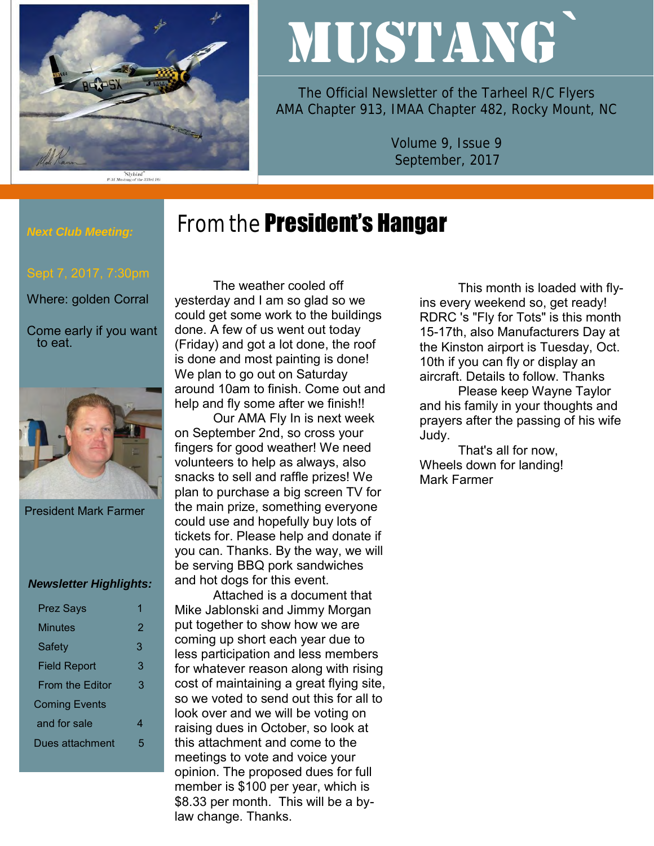

# MUSTANG`

The Official Newsletter of the Tarheel R/C Flyers AMA Chapter 913, IMAA Chapter 482, Rocky Mount, NC

> Volume 9, Issue 9 September, 2017

## From the **President's Hangar**

## *Next Club Meeting:*

Where: golden Corral

Come early if you want to eat.



President Mark Farmer

#### *Newsletter Highlights:*

| <b>Prez Says</b>       |   |
|------------------------|---|
| <b>Minutes</b>         | 2 |
| Safety                 | 3 |
| <b>Field Report</b>    | 3 |
| <b>From the Editor</b> | 3 |
| <b>Coming Events</b>   |   |
| and for sale           | 4 |
| Dues attachment        | 5 |
|                        |   |

The weather cooled off yesterday and I am so glad so we could get some work to the buildings done. A few of us went out today (Friday) and got a lot done, the roof is done and most painting is done! We plan to go out on Saturday around 10am to finish. Come out and help and fly some after we finish!!

Our AMA Fly In is next week on September 2nd, so cross your fingers for good weather! We need volunteers to help as always, also snacks to sell and raffle prizes! We plan to purchase a big screen TV for the main prize, something everyone could use and hopefully buy lots of tickets for. Please help and donate if you can. Thanks. By the way, we will be serving BBQ pork sandwiches and hot dogs for this event.

Attached is a document that Mike Jablonski and Jimmy Morgan put together to show how we are coming up short each year due to less participation and less members for whatever reason along with rising cost of maintaining a great flying site, so we voted to send out this for all to look over and we will be voting on raising dues in October, so look at this attachment and come to the meetings to vote and voice your opinion. The proposed dues for full member is \$100 per year, which is \$8.33 per month. This will be a bylaw change. Thanks.

This month is loaded with flyins every weekend so, get ready! RDRC 's "Fly for Tots" is this month 15-17th, also Manufacturers Day at the Kinston airport is Tuesday, Oct. 10th if you can fly or display an aircraft. Details to follow. Thanks

Please keep Wayne Taylor and his family in your thoughts and prayers after the passing of his wife Judy.

That's all for now, Wheels down for landing! Mark Farmer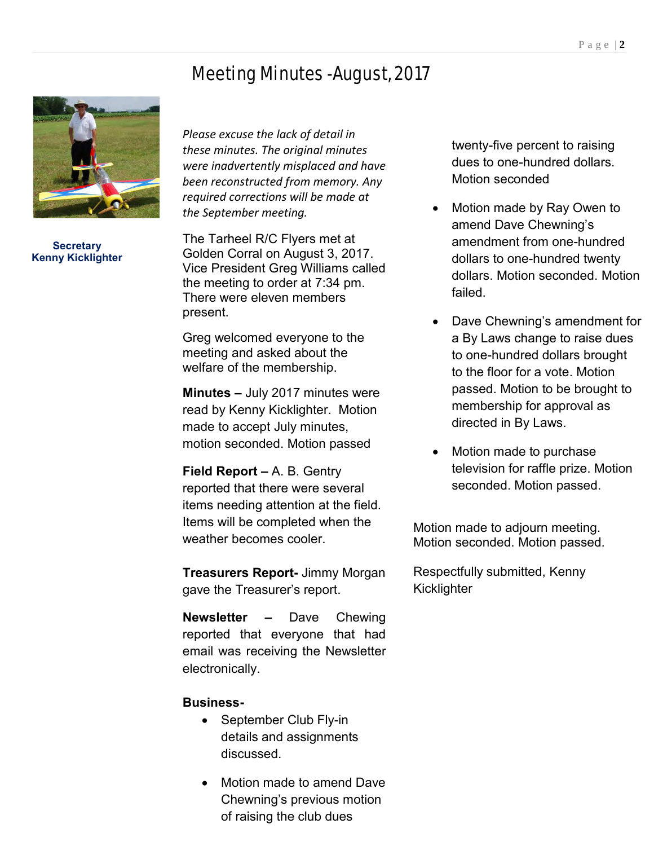## Meeting Minutes -August, 2017



**Secretary Kenny Kicklighter**

*Please excuse the lack of detail in these minutes. The original minutes were inadvertently misplaced and have been reconstructed from memory. Any required corrections will be made at the September meeting.* 

The Tarheel R/C Flyers met at Golden Corral on August 3, 2017. Vice President Greg Williams called the meeting to order at 7:34 pm. There were eleven members present.

Greg welcomed everyone to the meeting and asked about the welfare of the membership.

**Minutes –** July 2017 minutes were read by Kenny Kicklighter. Motion made to accept July minutes, motion seconded. Motion passed

**Field Report –** A. B. Gentry reported that there were several items needing attention at the field. Items will be completed when the weather becomes cooler.

**Treasurers Report-** Jimmy Morgan gave the Treasurer's report.

**Newsletter –** Dave Chewing reported that everyone that had email was receiving the Newsletter electronically.

#### **Business-**

- September Club Fly-in details and assignments discussed.
- Motion made to amend Dave Chewning's previous motion of raising the club dues

twenty-five percent to raising dues to one-hundred dollars. Motion seconded

- Motion made by Ray Owen to amend Dave Chewning's amendment from one-hundred dollars to one-hundred twenty dollars. Motion seconded. Motion failed.
- Dave Chewning's amendment for a By Laws change to raise dues to one-hundred dollars brought to the floor for a vote. Motion passed. Motion to be brought to membership for approval as directed in By Laws.
- Motion made to purchase television for raffle prize. Motion seconded. Motion passed.

Motion made to adjourn meeting. Motion seconded. Motion passed.

Respectfully submitted, Kenny **Kicklighter**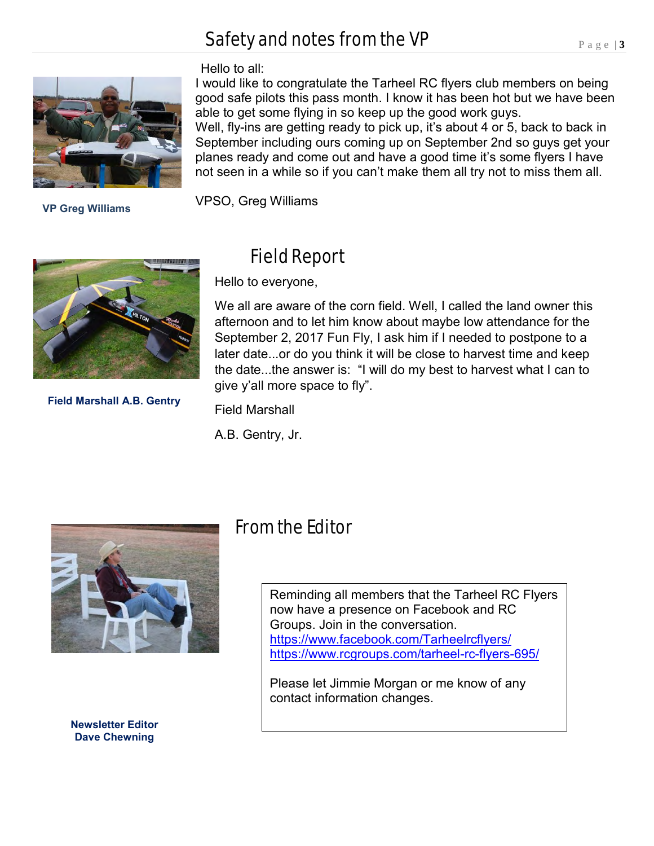## Safety and notes from the VP



 **VP Greg Williams**

#### Hello to all:

I would like to congratulate the Tarheel RC flyers club members on being good safe pilots this pass month. I know it has been hot but we have been able to get some flying in so keep up the good work guys. Well, fly-ins are getting ready to pick up, it's about 4 or 5, back to back in September including ours coming up on September 2nd so guys get your planes ready and come out and have a good time it's some flyers I have not seen in a while so if you can't make them all try not to miss them all.

VPSO, Greg Williams



**Field Marshall A.B. Gentry**

## Field Report

Hello to everyone,

We all are aware of the corn field. Well, I called the land owner this afternoon and to let him know about maybe low attendance for the September 2, 2017 Fun Fly, I ask him if I needed to postpone to a later date...or do you think it will be close to harvest time and keep the date...the answer is: "I will do my best to harvest what I can to give y'all more space to fly".

Field Marshall

A.B. Gentry, Jr.



**Newsletter Editor Dave Chewning**

## From the Editor

Reminding all members that the Tarheel RC Flyers now have a presence on Facebook and RC Groups. Join in the conversation. <https://www.facebook.com/Tarheelrcflyers/> <https://www.rcgroups.com/tarheel-rc-flyers-695/>

Please let Jimmie Morgan or me know of any contact information changes.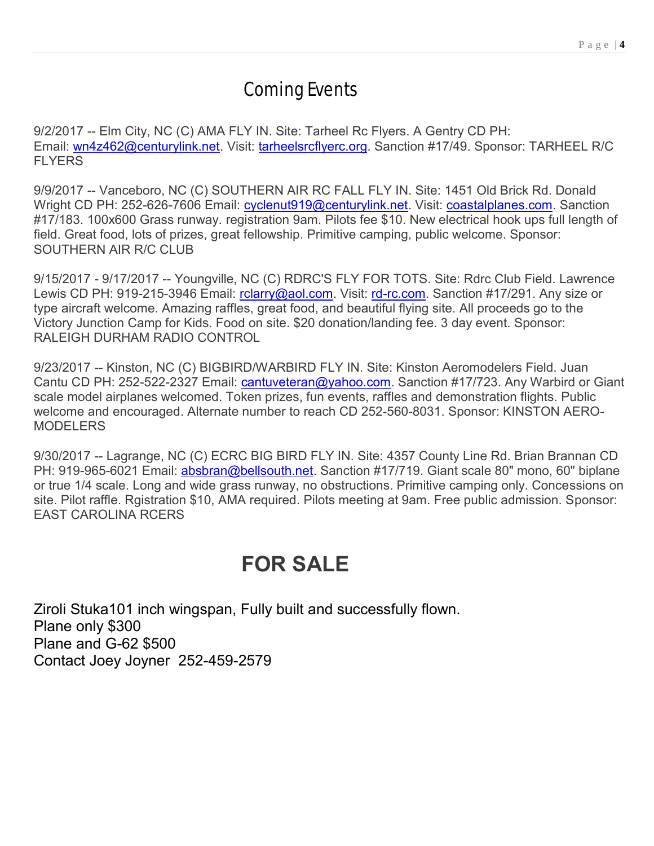## Coming Events

9/2/2017 -- Elm City, NC (C) AMA FLY IN. Site: Tarheel Rc Flyers. A Gentry CD PH: Email: [wn4z462@centurylink.net.](mailto:wn4z462@centurylink.net) Visit: [tarheelsrcflyerc.org.](http://tarheelsrcflyerc.org/) Sanction #17/49. Sponsor: TARHEEL R/C **FI YFRS** 

9/9/2017 -- Vanceboro, NC (C) SOUTHERN AIR RC FALL FLY IN. Site: 1451 Old Brick Rd. Donald Wright CD PH: 252-626-7606 Email: [cyclenut919@centurylink.net.](mailto:cyclenut919@centurylink.net) Visit: [coastalplanes.com.](http://coastalplanes.com/) Sanction #17/183. 100x600 Grass runway. registration 9am. Pilots fee \$10. New electrical hook ups full length of field. Great food, lots of prizes, great fellowship. Primitive camping, public welcome. Sponsor: SOUTHERN AIR R/C CLUB

9/15/2017 - 9/17/2017 -- Youngville, NC (C) RDRC'S FLY FOR TOTS. Site: Rdrc Club Field. Lawrence Lewis CD PH: 919-215-3946 Email: rolarry@aol.com. Visit: [rd-rc.com.](http://rd-rc.com/) Sanction #17/291. Any size or type aircraft welcome. Amazing raffles, great food, and beautiful flying site. All proceeds go to the Victory Junction Camp for Kids. Food on site. \$20 donation/landing fee. 3 day event. Sponsor: RALEIGH DURHAM RADIO CONTROL

9/23/2017 -- Kinston, NC (C) BIGBIRD/WARBIRD FLY IN. Site: Kinston Aeromodelers Field. Juan Cantu CD PH: 252-522-2327 Email: *[cantuveteran@yahoo.com.](mailto:cantuveteran@yahoo.com)* Sanction #17/723. Any Warbird or Giant scale model airplanes welcomed. Token prizes, fun events, raffles and demonstration flights. Public welcome and encouraged. Alternate number to reach CD 252-560-8031. Sponsor: KINSTON AERO-MODELERS

9/30/2017 -- Lagrange, NC (C) ECRC BIG BIRD FLY IN. Site: 4357 County Line Rd. Brian Brannan CD PH: 919-965-6021 Email: [absbran@bellsouth.net.](mailto:absbran@bellsouth.net) Sanction #17/719. Giant scale 80" mono, 60" biplane or true 1/4 scale. Long and wide grass runway, no obstructions. Primitive camping only. Concessions on site. Pilot raffle. Rgistration \$10, AMA required. Pilots meeting at 9am. Free public admission. Sponsor: EAST CAROLINA RCERS

## **FOR SALE**

Ziroli Stuka101 inch wingspan, Fully built and successfully flown. Plane only \$300 Plane and G-62 \$500 Contact Joey Joyner 252-459-2579